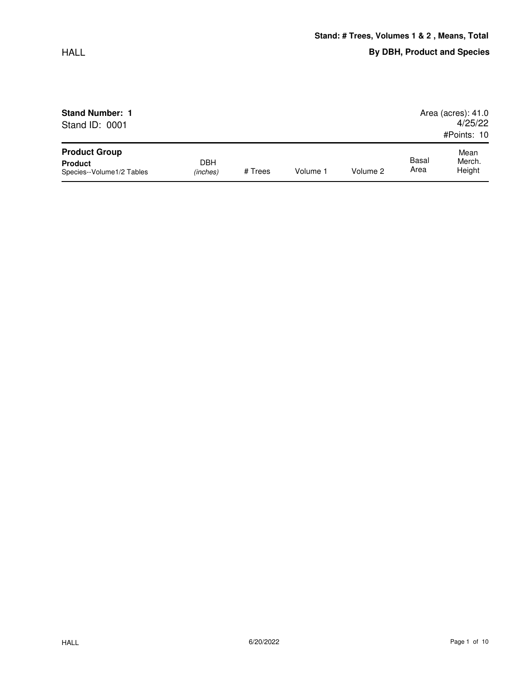| <b>Stand Number: 1</b>                      |                 |         | Area (acres): $41.0$ |          |               |                  |
|---------------------------------------------|-----------------|---------|----------------------|----------|---------------|------------------|
| Stand ID: 0001                              |                 |         |                      | 4/25/22  |               |                  |
|                                             |                 |         |                      |          |               | #Points: 10      |
| <b>Product Group</b>                        |                 |         |                      |          |               | Mean             |
| <b>Product</b><br>Species--Volume1/2 Tables | DBH<br>(inches) | # Trees | Volume 1             | Volume 2 | Basal<br>Area | Merch.<br>Height |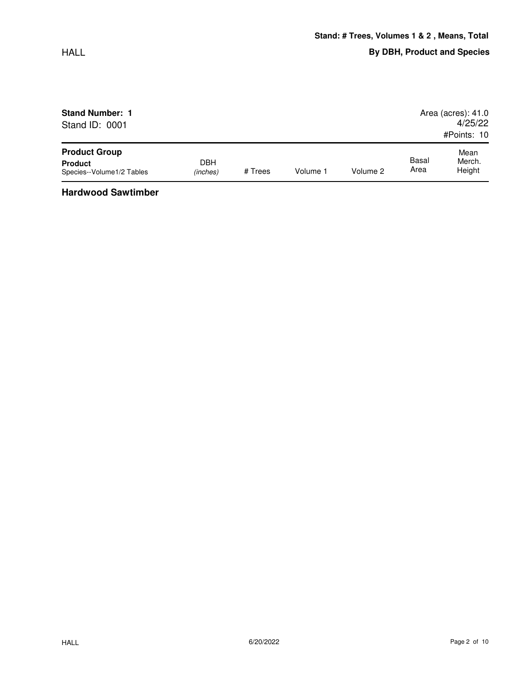| <b>Stand Number: 1</b>    |            |         |          |          |       | Area (acres): 41.0 |
|---------------------------|------------|---------|----------|----------|-------|--------------------|
| Stand ID: 0001            |            |         |          |          |       | 4/25/22            |
|                           |            |         |          |          |       | #Points: 10        |
| <b>Product Group</b>      |            |         |          |          |       | Mean               |
| <b>Product</b>            | <b>DBH</b> |         |          |          | Basal | Merch.             |
| Species--Volume1/2 Tables | (inches)   | # Trees | Volume 1 | Volume 2 | Area  | Height             |

**Hardwood Sawtimber**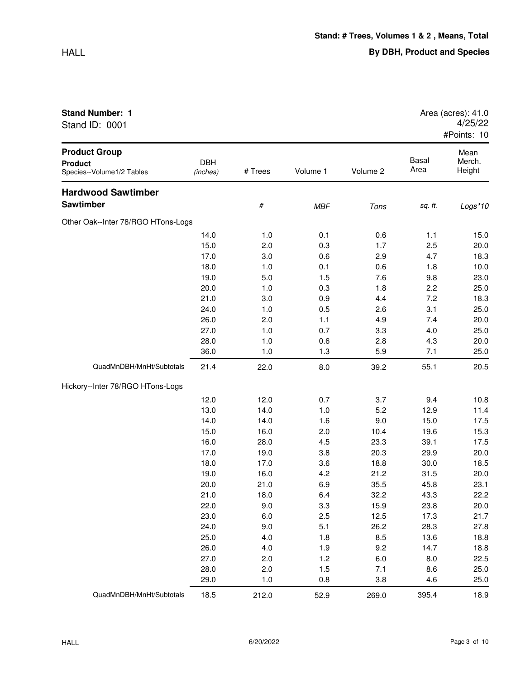## HALL

## **Stand Number: 1**

Stand ID: 0001

| Area (acres): 41.0 |  |
|--------------------|--|
| 4/25/22            |  |
| #Points: 10        |  |

|                                                                     |                        |         |            |          |               | $H$ FUIIIS. IV           |
|---------------------------------------------------------------------|------------------------|---------|------------|----------|---------------|--------------------------|
| <b>Product Group</b><br><b>Product</b><br>Species--Volume1/2 Tables | <b>DBH</b><br>(inches) | # Trees | Volume 1   | Volume 2 | Basal<br>Area | Mean<br>Merch.<br>Height |
| <b>Hardwood Sawtimber</b>                                           |                        |         |            |          |               |                          |
| <b>Sawtimber</b>                                                    |                        | $\#$    | <b>MBF</b> | Tons     | sq. ft.       | Logs*10                  |
| Other Oak--Inter 78/RGO HTons-Logs                                  |                        |         |            |          |               |                          |
|                                                                     | 14.0                   | 1.0     | 0.1        | 0.6      | 1.1           | 15.0                     |
|                                                                     | 15.0                   | 2.0     | 0.3        | 1.7      | 2.5           | 20.0                     |
|                                                                     | 17.0                   | 3.0     | 0.6        | 2.9      | 4.7           | 18.3                     |
|                                                                     | 18.0                   | 1.0     | 0.1        | 0.6      | 1.8           | 10.0                     |
|                                                                     | 19.0                   | 5.0     | 1.5        | 7.6      | 9.8           | 23.0                     |
|                                                                     | 20.0                   | 1.0     | 0.3        | 1.8      | 2.2           | 25.0                     |
|                                                                     | 21.0                   | 3.0     | 0.9        | 4.4      | 7.2           | 18.3                     |
|                                                                     | 24.0                   | 1.0     | 0.5        | 2.6      | 3.1           | 25.0                     |
|                                                                     | 26.0                   | 2.0     | 1.1        | 4.9      | 7.4           | 20.0                     |
|                                                                     | 27.0                   | 1.0     | 0.7        | 3.3      | 4.0           | 25.0                     |
|                                                                     | 28.0                   | 1.0     | 0.6        | 2.8      | 4.3           | 20.0                     |
|                                                                     | 36.0                   | 1.0     | 1.3        | 5.9      | 7.1           | 25.0                     |
| QuadMnDBH/MnHt/Subtotals                                            | 21.4                   | 22.0    | 8.0        | 39.2     | 55.1          | 20.5                     |
| Hickory--Inter 78/RGO HTons-Logs                                    |                        |         |            |          |               |                          |
|                                                                     | 12.0                   | 12.0    | 0.7        | 3.7      | 9.4           | 10.8                     |
|                                                                     | 13.0                   | 14.0    | 1.0        | 5.2      | 12.9          | 11.4                     |
|                                                                     | 14.0                   | 14.0    | 1.6        | 9.0      | 15.0          | 17.5                     |
|                                                                     | 15.0                   | 16.0    | 2.0        | 10.4     | 19.6          | 15.3                     |
|                                                                     | 16.0                   | 28.0    | 4.5        | 23.3     | 39.1          | 17.5                     |
|                                                                     | 17.0                   | 19.0    | 3.8        | 20.3     | 29.9          | 20.0                     |
|                                                                     | 18.0                   | 17.0    | 3.6        | 18.8     | 30.0          | 18.5                     |
|                                                                     | 19.0                   | 16.0    | 4.2        | 21.2     | 31.5          | 20.0                     |
|                                                                     | 20.0                   | 21.0    | 6.9        | 35.5     | 45.8          | 23.1                     |
|                                                                     | 21.0                   | 18.0    | 6.4        | 32.2     | 43.3          | 22.2                     |
|                                                                     | 22.0                   | 9.0     | 3.3        | 15.9     | 23.8          | 20.0                     |
|                                                                     | 23.0                   | 6.0     | 2.5        | 12.5     | 17.3          | 21.7                     |
|                                                                     | 24.0                   | 9.0     | 5.1        | 26.2     | 28.3          | 27.8                     |
|                                                                     | 25.0                   | 4.0     | 1.8        | 8.5      | 13.6          | 18.8                     |
|                                                                     | 26.0                   | 4.0     | 1.9        | 9.2      | 14.7          | 18.8                     |
|                                                                     | 27.0                   | 2.0     | 1.2        | 6.0      | 8.0           | 22.5                     |
|                                                                     | 28.0                   | 2.0     | 1.5        | 7.1      | 8.6           | 25.0                     |
|                                                                     | 29.0                   | 1.0     | 0.8        | 3.8      | 4.6           | 25.0                     |
| QuadMnDBH/MnHt/Subtotals                                            | 18.5                   | 212.0   | 52.9       | 269.0    | 395.4         | 18.9                     |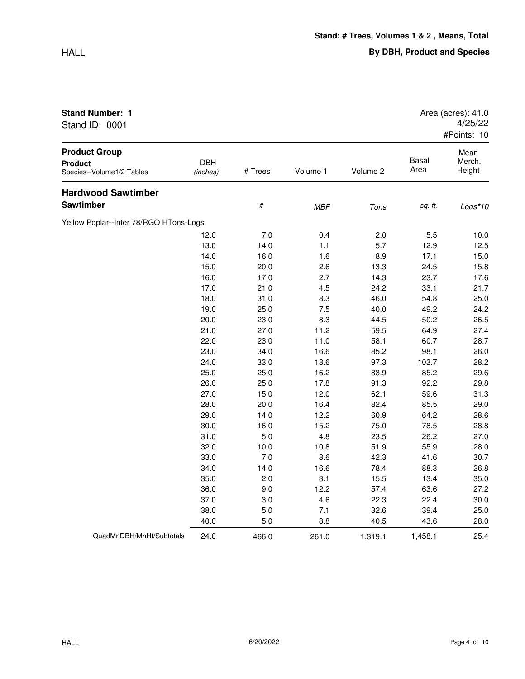| Stand ID: 0001                                                      |                        |         |            |          |                      | 4/25/22<br>#Points: 10   |
|---------------------------------------------------------------------|------------------------|---------|------------|----------|----------------------|--------------------------|
| <b>Product Group</b><br><b>Product</b><br>Species--Volume1/2 Tables | <b>DBH</b><br>(inches) | # Trees | Volume 1   | Volume 2 | <b>Basal</b><br>Area | Mean<br>Merch.<br>Height |
| <b>Hardwood Sawtimber</b>                                           |                        |         |            |          |                      |                          |
| Sawtimber                                                           |                        | $\#$    | <b>MBF</b> | Tons     | sq. ft.              | Logs*10                  |
| Yellow Poplar--Inter 78/RGO HTons-Logs                              |                        |         |            |          |                      |                          |
|                                                                     | 12.0                   | 7.0     | 0.4        | 2.0      | 5.5                  | 10.0                     |
|                                                                     | 13.0                   | 14.0    | 1.1        | 5.7      | 12.9                 | 12.5                     |
|                                                                     | 14.0                   | 16.0    | 1.6        | 8.9      | 17.1                 | 15.0                     |
|                                                                     | 15.0                   | 20.0    | 2.6        | 13.3     | 24.5                 | 15.8                     |
|                                                                     | 16.0                   | 17.0    | 2.7        | 14.3     | 23.7                 | 17.6                     |
|                                                                     | 17.0                   | 21.0    | 4.5        | 24.2     | 33.1                 | 21.7                     |
|                                                                     | 18.0                   | 31.0    | 8.3        | 46.0     | 54.8                 | 25.0                     |
|                                                                     | 19.0                   | 25.0    | 7.5        | 40.0     | 49.2                 | 24.2                     |
|                                                                     | 20.0                   | 23.0    | 8.3        | 44.5     | 50.2                 | 26.5                     |
|                                                                     | 21.0                   | 27.0    | 11.2       | 59.5     | 64.9                 | 27.4                     |
|                                                                     | 22.0                   | 23.0    | 11.0       | 58.1     | 60.7                 | 28.7                     |
|                                                                     | 23.0                   | 34.0    | 16.6       | 85.2     | 98.1                 | 26.0                     |
|                                                                     | 24.0                   | 33.0    | 18.6       | 97.3     | 103.7                | 28.2                     |
|                                                                     | 25.0                   | 25.0    | 16.2       | 83.9     | 85.2                 | 29.6                     |
|                                                                     | 26.0                   | 25.0    | 17.8       | 91.3     | 92.2                 | 29.8                     |
|                                                                     | 27.0                   | 15.0    | 12.0       | 62.1     | 59.6                 | 31.3                     |
|                                                                     | 28.0                   | 20.0    | 16.4       | 82.4     | 85.5                 | 29.0                     |
|                                                                     | 29.0                   | 14.0    | 12.2       | 60.9     | 64.2                 | 28.6                     |
|                                                                     | 30.0                   | 16.0    | 15.2       | 75.0     | 78.5                 | 28.8                     |
|                                                                     | 31.0                   | 5.0     | 4.8        | 23.5     | 26.2                 | 27.0                     |
|                                                                     | 32.0                   | 10.0    | 10.8       | 51.9     | 55.9                 | 28.0                     |
|                                                                     | 33.0                   | 7.0     | 8.6        | 42.3     | 41.6                 | 30.7                     |
|                                                                     | 34.0                   | 14.0    | 16.6       | 78.4     | 88.3                 | 26.8                     |
|                                                                     | 35.0                   | 2.0     | 3.1        | 15.5     | 13.4                 | 35.0                     |
|                                                                     | 36.0                   | 9.0     | 12.2       | 57.4     | 63.6                 | 27.2                     |
|                                                                     | 37.0                   | 3.0     | 4.6        | 22.3     | 22.4                 | 30.0                     |
|                                                                     | 38.0                   | 5.0     | 7.1        | 32.6     | 39.4                 | 25.0                     |
|                                                                     | 40.0                   | 5.0     | 8.8        | 40.5     | 43.6                 | 28.0                     |
| QuadMnDBH/MnHt/Subtotals                                            | 24.0                   | 466.0   | 261.0      | 1,319.1  | 1,458.1              | 25.4                     |

**Stand Number: 1 Area (acres): 41.0** 4/25/22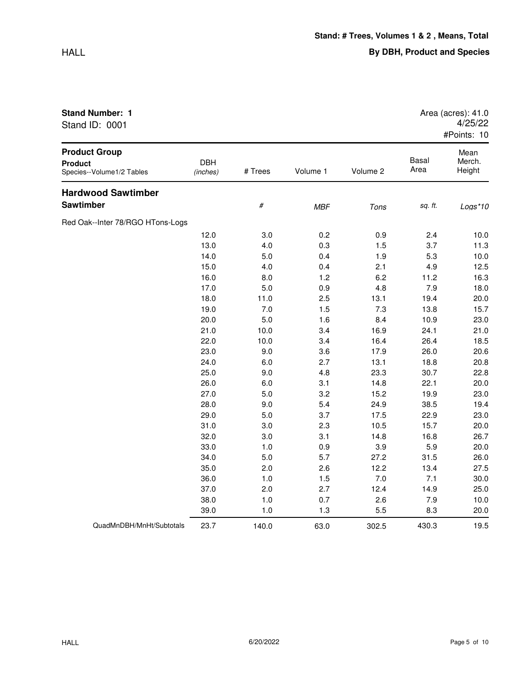| Stand ID: 0001                                                      |                        |         |            |          |               | 4/23/22<br>#Points: 10   |
|---------------------------------------------------------------------|------------------------|---------|------------|----------|---------------|--------------------------|
| <b>Product Group</b><br><b>Product</b><br>Species--Volume1/2 Tables | <b>DBH</b><br>(inches) | # Trees | Volume 1   | Volume 2 | Basal<br>Area | Mean<br>Merch.<br>Height |
| <b>Hardwood Sawtimber</b>                                           |                        |         |            |          |               |                          |
| Sawtimber                                                           |                        | $\#$    | <b>MBF</b> | Tons     | sq. ft.       | Logs*10                  |
| Red Oak--Inter 78/RGO HTons-Logs                                    |                        |         |            |          |               |                          |
|                                                                     | 12.0                   | 3.0     | 0.2        | 0.9      | 2.4           | 10.0                     |
|                                                                     | 13.0                   | 4.0     | 0.3        | 1.5      | 3.7           | 11.3                     |
|                                                                     | 14.0                   | 5.0     | 0.4        | 1.9      | 5.3           | 10.0                     |
|                                                                     | 15.0                   | 4.0     | 0.4        | 2.1      | 4.9           | 12.5                     |
|                                                                     | 16.0                   | 8.0     | 1.2        | 6.2      | 11.2          | 16.3                     |
|                                                                     | 17.0                   | 5.0     | 0.9        | 4.8      | 7.9           | 18.0                     |
|                                                                     | 18.0                   | 11.0    | 2.5        | 13.1     | 19.4          | 20.0                     |
|                                                                     | 19.0                   | 7.0     | 1.5        | 7.3      | 13.8          | 15.7                     |
|                                                                     | 20.0                   | 5.0     | 1.6        | 8.4      | 10.9          | 23.0                     |
|                                                                     | 21.0                   | 10.0    | 3.4        | 16.9     | 24.1          | 21.0                     |
|                                                                     | 22.0                   | 10.0    | 3.4        | 16.4     | 26.4          | 18.5                     |
|                                                                     | 23.0                   | 9.0     | 3.6        | 17.9     | 26.0          | 20.6                     |
|                                                                     | 24.0                   | 6.0     | 2.7        | 13.1     | 18.8          | 20.8                     |
|                                                                     | 25.0                   | 9.0     | 4.8        | 23.3     | 30.7          | 22.8                     |
|                                                                     | 26.0                   | 6.0     | 3.1        | 14.8     | 22.1          | 20.0                     |
|                                                                     | 27.0                   | 5.0     | 3.2        | 15.2     | 19.9          | 23.0                     |
|                                                                     | 28.0                   | 9.0     | 5.4        | 24.9     | 38.5          | 19.4                     |
|                                                                     | 29.0                   | 5.0     | 3.7        | 17.5     | 22.9          | 23.0                     |
|                                                                     | 31.0                   | 3.0     | 2.3        | 10.5     | 15.7          | 20.0                     |
|                                                                     | 32.0                   | 3.0     | 3.1        | 14.8     | 16.8          | 26.7                     |
|                                                                     | 33.0                   | 1.0     | 0.9        | 3.9      | 5.9           | 20.0                     |
|                                                                     | 34.0                   | 5.0     | 5.7        | 27.2     | 31.5          | 26.0                     |
|                                                                     | 35.0                   | 2.0     | 2.6        | 12.2     | 13.4          | 27.5                     |
|                                                                     | 36.0                   | 1.0     | 1.5        | 7.0      | 7.1           | 30.0                     |
|                                                                     | 37.0                   | 2.0     | 2.7        | 12.4     | 14.9          | 25.0                     |
|                                                                     | 38.0                   | 1.0     | 0.7        | 2.6      | 7.9           | 10.0                     |
|                                                                     | 39.0                   | 1.0     | 1.3        | 5.5      | 8.3           | 20.0                     |

Stand ID: 0001

QuadMnDBH/MnHt/Subtotals 23.7 140.0 63.0 302.5 430.3 19.5

4/25/22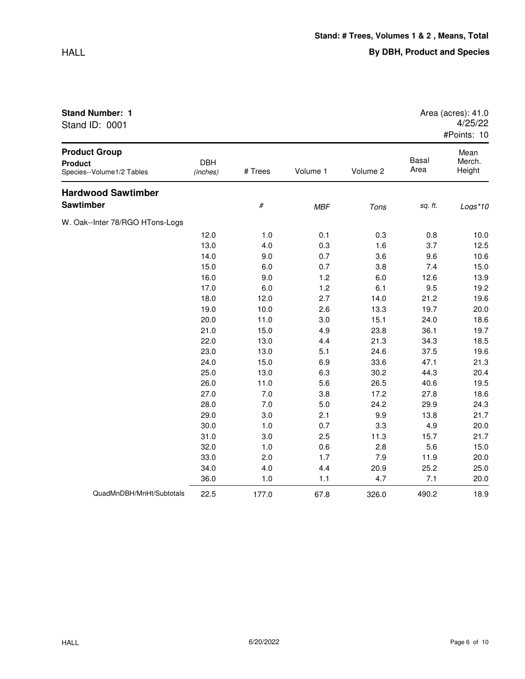| <b>Stand Number: 1</b><br>Stand ID: 0001                            |                        |         |            |          | Area (acres): 41.0<br>4/25/22<br>#Points: 10 |                          |
|---------------------------------------------------------------------|------------------------|---------|------------|----------|----------------------------------------------|--------------------------|
| <b>Product Group</b><br><b>Product</b><br>Species--Volume1/2 Tables | <b>DBH</b><br>(inches) | # Trees | Volume 1   | Volume 2 | Basal<br>Area                                | Mean<br>Merch.<br>Height |
| <b>Hardwood Sawtimber</b><br><b>Sawtimber</b>                       |                        | #       | <b>MBF</b> | Tons     | sq. ft.                                      | $Log*10$                 |
| W. Oak--Inter 78/RGO HTons-Logs                                     |                        |         |            |          |                                              |                          |
|                                                                     | 12.0                   | 1.0     | 0.1        | 0.3      | 0.8                                          | 10.0                     |
|                                                                     | 13.0                   | 4.0     | 0.3        | 1.6      | 3.7                                          | 12.5                     |

14.0 9.0 0.7 3.6 9.6 10.6 15.0 6.0 0.7 3.8 7.4 15.0 16.0 9.0 1.2 6.0 12.6 13.9 17.0 6.0 1.2 6.1 9.5 19.2 18.0 12.0 2.7 14.0 21.2 19.6 19.0 10.0 2.6 13.3 19.7 20.0 20.0 11.0 3.0 15.1 24.0 18.6 21.0 15.0 4.9 23.8 36.1 19.7 22.0 13.0 4.4 21.3 34.3 18.5 23.0 13.0 5.1 24.6 37.5 19.6

34.0 4.0 4.4 20.9 25.2 25.0

| 24.0 | 15.0 | 6.9 | 33.6 | 47.1 | 21.3 |
|------|------|-----|------|------|------|
| 25.0 | 13.0 | 6.3 | 30.2 | 44.3 | 20.4 |
| 26.0 | 11.0 | 5.6 | 26.5 | 40.6 | 19.5 |
| 27.0 | 7.0  | 3.8 | 17.2 | 27.8 | 18.6 |
| 28.0 | 7.0  | 5.0 | 24.2 | 29.9 | 24.3 |
| 29.0 | 3.0  | 2.1 | 9.9  | 13.8 | 21.7 |
| 30.0 | 1.0  | 0.7 | 3.3  | 4.9  | 20.0 |
| 31.0 | 3.0  | 2.5 | 11.3 | 15.7 | 21.7 |
| 32.0 | 1.0  | 0.6 | 2.8  | 5.6  | 15.0 |
| 33.0 | 2.0  | 1.7 | 7.9  | 11.9 | 20.0 |
|      |      |     |      |      |      |

|                                  | 36               | . . v     |             | .          | . .                 | nn<br>- -  |
|----------------------------------|------------------|-----------|-------------|------------|---------------------|------------|
| λuadMnDBH/MnHt/Su<br>. Subtotals | nr<br>----<br>__ | . .<br>__ | c<br>07<br> | ാറല<br>◡.៶ | LQ(<br>~∽<br>$\sim$ | . .<br>о.: |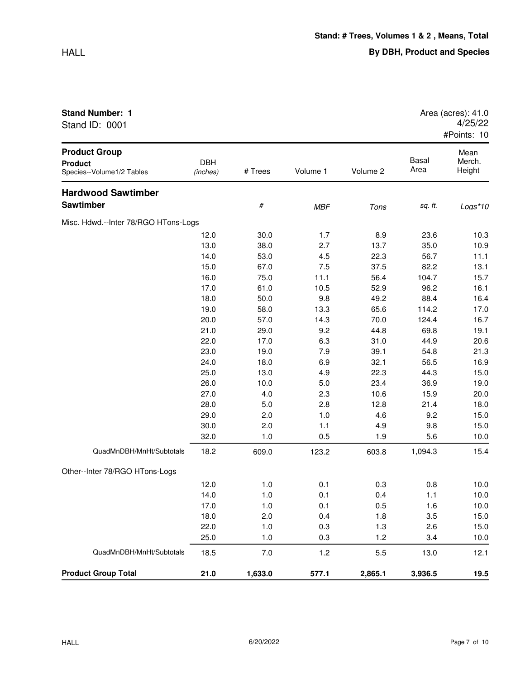| Stand ID: 0001                                                      |                        |         |            |          |               | 4/25/22<br>#Points: 10   |
|---------------------------------------------------------------------|------------------------|---------|------------|----------|---------------|--------------------------|
| <b>Product Group</b><br><b>Product</b><br>Species--Volume1/2 Tables | <b>DBH</b><br>(inches) | # Trees | Volume 1   | Volume 2 | Basal<br>Area | Mean<br>Merch.<br>Height |
| <b>Hardwood Sawtimber</b>                                           |                        |         |            |          |               |                          |
| <b>Sawtimber</b>                                                    |                        | $\#$    | <b>MBF</b> | Tons     | sq. ft.       | $Logs*10$                |
| Misc. Hdwd.--Inter 78/RGO HTons-Logs                                |                        |         |            |          |               |                          |
|                                                                     | 12.0                   | 30.0    | 1.7        | 8.9      | 23.6          | 10.3                     |
|                                                                     | 13.0                   | 38.0    | 2.7        | 13.7     | 35.0          | 10.9                     |
|                                                                     | 14.0                   | 53.0    | 4.5        | 22.3     | 56.7          | 11.1                     |
|                                                                     | 15.0                   | 67.0    | 7.5        | 37.5     | 82.2          | 13.1                     |
|                                                                     | 16.0                   | 75.0    | 11.1       | 56.4     | 104.7         | 15.7                     |
|                                                                     | 17.0                   | 61.0    | 10.5       | 52.9     | 96.2          | 16.1                     |
|                                                                     | 18.0                   | 50.0    | 9.8        | 49.2     | 88.4          | 16.4                     |
|                                                                     | 19.0                   | 58.0    | 13.3       | 65.6     | 114.2         | 17.0                     |
|                                                                     | 20.0                   | 57.0    | 14.3       | 70.0     | 124.4         | 16.7                     |
|                                                                     | 21.0                   | 29.0    | 9.2        | 44.8     | 69.8          | 19.1                     |
|                                                                     | 22.0                   | 17.0    | 6.3        | 31.0     | 44.9          | 20.6                     |
|                                                                     | 23.0                   | 19.0    | 7.9        | 39.1     | 54.8          | 21.3                     |
|                                                                     | 24.0                   | 18.0    | 6.9        | 32.1     | 56.5          | 16.9                     |
|                                                                     | 25.0                   | 13.0    | 4.9        | 22.3     | 44.3          | 15.0                     |
|                                                                     | 26.0                   | 10.0    | 5.0        | 23.4     | 36.9          | 19.0                     |
|                                                                     | 27.0                   | 4.0     | 2.3        | 10.6     | 15.9          | 20.0                     |
|                                                                     | 28.0                   | 5.0     | 2.8        | 12.8     | 21.4          | 18.0                     |
|                                                                     | 29.0                   | 2.0     | 1.0        | 4.6      | 9.2           | 15.0                     |
|                                                                     | 30.0                   | 2.0     | 1.1        | 4.9      | 9.8           | 15.0                     |
|                                                                     | 32.0                   | 1.0     | 0.5        | 1.9      | 5.6           | 10.0                     |
| QuadMnDBH/MnHt/Subtotals                                            | 18.2                   | 609.0   | 123.2      | 603.8    | 1,094.3       | 15.4                     |

12.0 1.0 0.1 0.3 0.8 10.0 14.0 1.0 0.1 0.4 1.1 10.0 17.0 1.0 0.1 0.5 1.6 10.0 18.0 2.0 0.4 1.8 3.5 15.0 22.0 1.0 0.3 1.3 2.6 15.0 25.0 1.0 0.3 1.2 3.4 10.0

**Stand Number: 1 Area (acres): 41.0 Area (acres): 41.0** 

Other--Inter 78/RGO HTons-Logs

QuadMnDBH/MnHt/Subtotals 18.5 7.0 1.2 5.5 13.0 12.1

**Product Group Total 21.0 1,633.0 577.1 2,865.1 3,936.5 19.5**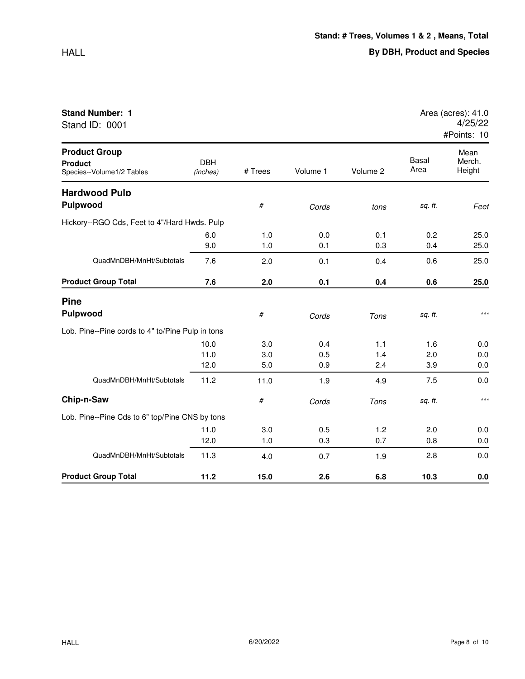|--|

| <b>Stand Number: 1</b><br>Stand ID: 0001                            |                        |            |            |            |               | Area (acres): 41.0<br>4/25/22<br>#Points: 10 |
|---------------------------------------------------------------------|------------------------|------------|------------|------------|---------------|----------------------------------------------|
| <b>Product Group</b><br><b>Product</b><br>Species--Volume1/2 Tables | <b>DBH</b><br>(inches) | # Trees    | Volume 1   | Volume 2   | Basal<br>Area | Mean<br>Merch.<br>Height                     |
| <b>Hardwood Pulp</b><br>Pulpwood                                    |                        | #          | Cords      | tons       | sq. ft.       | Feet                                         |
| Hickory--RGO Cds, Feet to 4"/Hard Hwds. Pulp                        |                        |            |            |            |               |                                              |
|                                                                     | 6.0<br>9.0             | 1.0<br>1.0 | 0.0<br>0.1 | 0.1<br>0.3 | 0.2<br>0.4    | 25.0<br>25.0                                 |
| QuadMnDBH/MnHt/Subtotals                                            | 7.6                    | 2.0        | 0.1        | 0.4        | 0.6           | 25.0                                         |
| <b>Product Group Total</b>                                          | 7.6                    | 2.0        | 0.1        | 0.4        | 0.6           | 25.0                                         |
| <b>Pine</b>                                                         |                        |            |            |            |               |                                              |
| <b>Pulpwood</b>                                                     |                        | #          | Cords      | Tons       | sq. ft.       | $***$                                        |
| Lob. Pine--Pine cords to 4" to/Pine Pulp in tons                    |                        |            |            |            |               |                                              |
|                                                                     | 10.0                   | 3.0        | 0.4        | 1.1        | 1.6           | 0.0                                          |
|                                                                     | 11.0<br>12.0           | 3.0<br>5.0 | 0.5<br>0.9 | 1.4<br>2.4 | 2.0<br>3.9    | 0.0<br>0.0                                   |
| QuadMnDBH/MnHt/Subtotals                                            | 11.2                   | 11.0       | 1.9        | 4.9        | 7.5           | 0.0                                          |
| Chip-n-Saw                                                          |                        | #          | Cords      | Tons       | sq. ft.       | $***$                                        |
| Lob. Pine--Pine Cds to 6" top/Pine CNS by tons                      |                        |            |            |            |               |                                              |
|                                                                     | 11.0                   | 3.0        | 0.5        | 1.2        | 2.0           | 0.0                                          |
|                                                                     | 12.0                   | 1.0        | 0.3        | 0.7        | 0.8           | 0.0                                          |
| QuadMnDBH/MnHt/Subtotals                                            | 11.3                   | 4.0        | 0.7        | 1.9        | 2.8           | 0.0                                          |
| <b>Product Group Total</b>                                          | 11.2                   | 15.0       | 2.6        | 6.8        | 10.3          | 0.0                                          |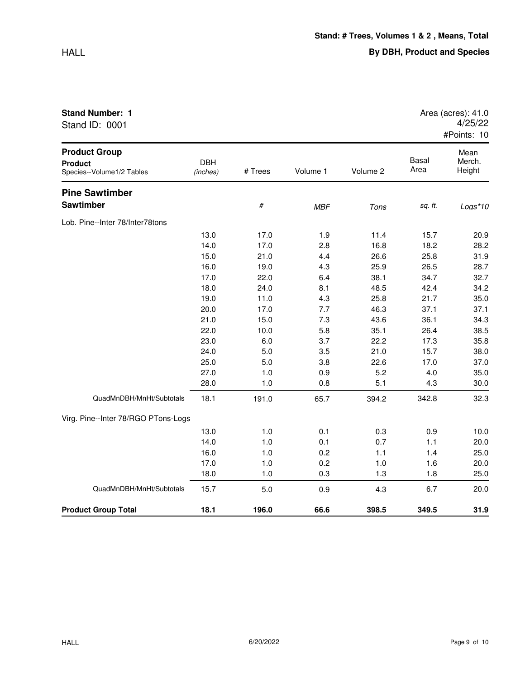| Stand ID: 0001                                                      |                        |         |            |             |               | 4/25/22<br>#Points: 10   |  |  |
|---------------------------------------------------------------------|------------------------|---------|------------|-------------|---------------|--------------------------|--|--|
| <b>Product Group</b><br><b>Product</b><br>Species--Volume1/2 Tables | <b>DBH</b><br>(inches) | # Trees | Volume 1   | Volume 2    | Basal<br>Area | Mean<br>Merch.<br>Height |  |  |
| <b>Pine Sawtimber</b><br><b>Sawtimber</b>                           |                        | #       | <b>MBF</b> | Tons        | sq. ft.       | Logs*10                  |  |  |
| Lob. Pine--Inter 78/Inter78tons                                     | 13 U                   | 17 N    | 1 Q        | 11 <i>A</i> | 157           | on a                     |  |  |

| <b>Product Group Total</b>          | 18.1         | 196.0        | 66.6       | 398.5        | 349.5        | 31.9         |
|-------------------------------------|--------------|--------------|------------|--------------|--------------|--------------|
| QuadMnDBH/MnHt/Subtotals            | 15.7         | 5.0          | 0.9        | 4.3          | 6.7          | 20.0         |
|                                     | 18.0         | 1.0          | 0.3        | 1.3          | 1.8          | 25.0         |
|                                     | 17.0         | 1.0          | 0.2        | 1.0          | 1.6          | 20.0         |
|                                     | 16.0         | 1.0          | 0.2        | 1.1          | 1.4          | 25.0         |
|                                     | 14.0         | 1.0          | 0.1        | 0.7          | 1.1          | 20.0         |
|                                     | 13.0         | 1.0          | 0.1        | 0.3          | 0.9          | 10.0         |
| Virg. Pine--Inter 78/RGO PTons-Logs |              |              |            |              |              |              |
| QuadMnDBH/MnHt/Subtotals            | 18.1         | 191.0        | 65.7       | 394.2        | 342.8        | 32.3         |
|                                     | 28.0         | 1.0          | 0.8        | 5.1          | 4.3          | 30.0         |
|                                     | 27.0         | 1.0          | 0.9        | 5.2          | 4.0          | 35.0         |
|                                     | 25.0         | 5.0          | 3.8        | 22.6         | 17.0         | 37.0         |
|                                     | 24.0         | 5.0          | 3.5        | 21.0         | 15.7         | 38.0         |
|                                     | 23.0         | 6.0          | 3.7        | 22.2         | 17.3         | 35.8         |
|                                     | 22.0         | 10.0         | 5.8        | 35.1         | 26.4         | 38.5         |
|                                     | 21.0         | 15.0         | 7.3        | 43.6         | 36.1         | 34.3         |
|                                     | 20.0         | 17.0         | 7.7        | 46.3         | 37.1         | 37.1         |
|                                     | 19.0         | 11.0         | 4.3        | 25.8         | 21.7         | 35.0         |
|                                     | 18.0         | 24.0         | 8.1        | 48.5         | 42.4         | 34.2         |
|                                     | 17.0         | 22.0         | 6.4        | 38.1         | 34.7         | 32.7         |
|                                     | 16.0         | 19.0         | 4.3        | 25.9         | 26.5         | 31.9<br>28.7 |
|                                     | 14.0<br>15.0 | 17.0<br>21.0 | 2.8<br>4.4 | 16.8<br>26.6 | 18.2<br>25.8 | 28.2         |
|                                     | 13.0         | 17.0         | 1.9        | 11.4         | 15.7         | 20.9         |
| Lob. Pine--Inter 78/Inter78tons     |              |              |            |              |              |              |